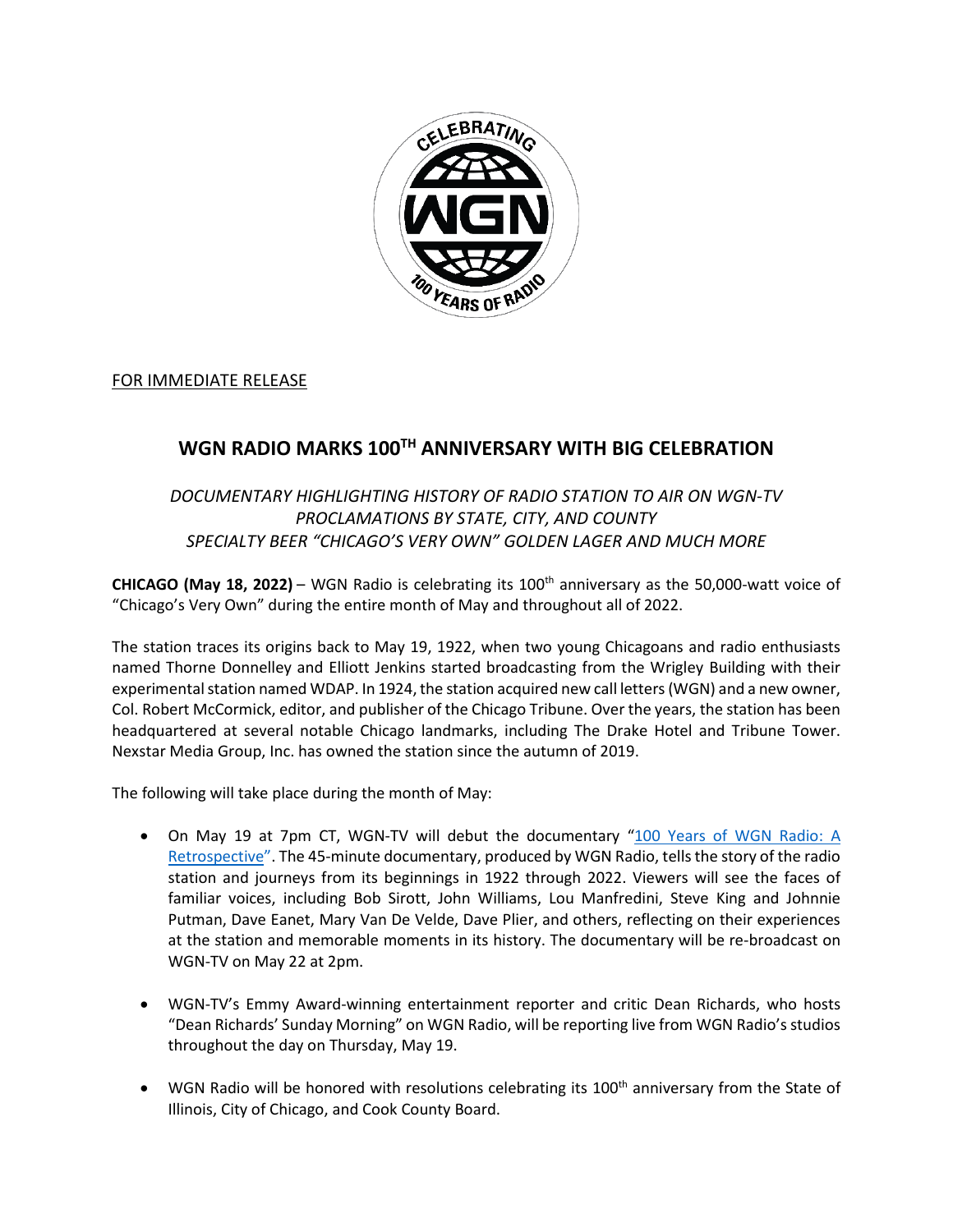

## FOR IMMEDIATE RELEASE

## **WGN RADIO MARKS 100TH ANNIVERSARY WITH BIG CELEBRATION**

## *DOCUMENTARY HIGHLIGHTING HISTORY OF RADIO STATION TO AIR ON WGN-TV PROCLAMATIONS BY STATE, CITY, AND COUNTY SPECIALTY BEER "CHICAGO'S VERY OWN" GOLDEN LAGER AND MUCH MORE*

**CHICAGO (May 18, 2022)** – WGN Radio is celebrating its 100th anniversary as the 50,000-watt voice of "Chicago's Very Own" during the entire month of May and throughout all of 2022.

The station traces its origins back to May 19, 1922, when two young Chicagoans and radio enthusiasts named Thorne Donnelley and Elliott Jenkins started broadcasting from the Wrigley Building with their experimental station named WDAP. In 1924, the station acquired new call letters (WGN) and a new owner, Col. Robert McCormick, editor, and publisher of the Chicago Tribune. Over the years, the station has been headquartered at several notable Chicago landmarks, including The Drake Hotel and Tribune Tower. Nexstar Media Group, Inc. has owned the station since the autumn of 2019.

The following will take place during the month of May:

- On May 19 at 7pm CT, WGN-TV will debut the documentary "100 Years of WGN [Radio:](https://wgnradio.com/100-years-of-wgn-radio/100-years-of-wgn-radio-a-retrospective-to-air-on-wgn-tv/) A [Retrospective](https://wgnradio.com/100-years-of-wgn-radio/100-years-of-wgn-radio-a-retrospective-to-air-on-wgn-tv/)". The 45-minute documentary, produced by WGN Radio, tells the story of the radio station and journeys from its beginnings in 1922 through 2022. Viewers will see the faces of familiar voices, including Bob Sirott, John Williams, Lou Manfredini, Steve King and Johnnie Putman, Dave Eanet, Mary Van De Velde, Dave Plier, and others, reflecting on their experiences at the station and memorable moments in its history. The documentary will be re-broadcast on WGN-TV on May 22 at 2pm.
- WGN-TV's Emmy Award-winning entertainment reporter and critic Dean Richards, who hosts "Dean Richards' Sunday Morning" on WGN Radio, will be reporting live from WGN Radio's studios throughout the day on Thursday, May 19.
- WGN Radio will be honored with resolutions celebrating its 100<sup>th</sup> anniversary from the State of Illinois, City of Chicago, and Cook County Board.